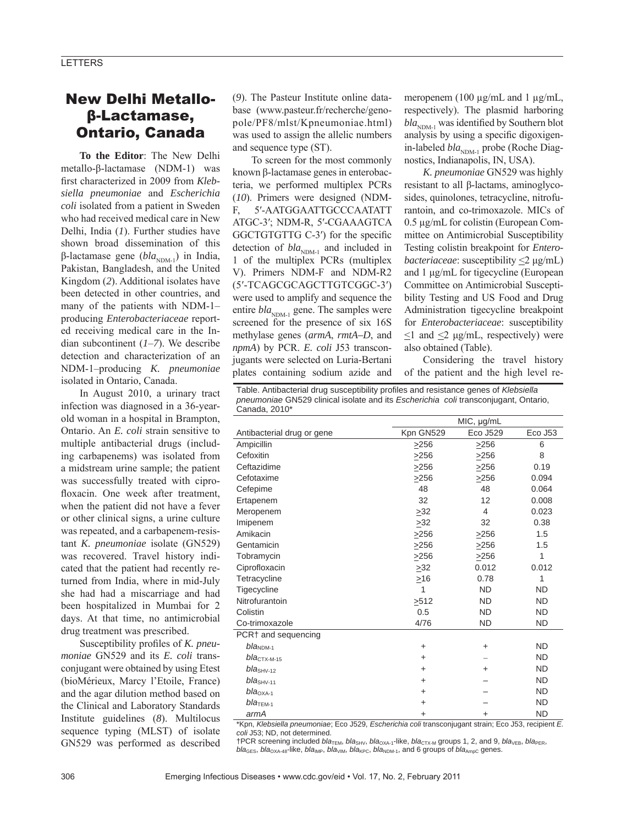# New Delhi Metalloβ-Lactamase, Ontario, Canada

**To the Editor**: The New Delhi metallo-β-lactamase (NDM-1) was first characterized in 2009 from *Klebsiella pneumoniae* and *Escherichia coli* isolated from a patient in Sweden who had received medical care in New Delhi, India (*1*). Further studies have shown broad dissemination of this β-lactamase gene (*bla*<sub>NDM-1</sub>) in India, Pakistan, Bangladesh, and the United Kingdom (*2*). Additional isolates have been detected in other countries, and many of the patients with NDM-1– producing *Enterobacteriaceae* reported receiving medical care in the Indian subcontinent (*1*–*7*). We describe detection and characterization of an NDM-1–producing *K. pneumoniae* isolated in Ontario, Canada.

In August 2010, a urinary tract infection was diagnosed in a 36-yearold woman in a hospital in Brampton, Ontario. An *E. coli* strain sensitive to multiple antibacterial drugs (including carbapenems) was isolated from a midstream urine sample; the patient was successfully treated with ciprofloxacin. One week after treatment, when the patient did not have a fever or other clinical signs, a urine culture was repeated, and a carbapenem-resistant *K. pneumoniae* isolate (GN529) was recovered. Travel history indicated that the patient had recently returned from India, where in mid-July she had had a miscarriage and had been hospitalized in Mumbai for 2 days. At that time, no antimicrobial drug treatment was prescribed.

Susceptibility profiles of *K. pneumoniae* GN529 and its *E. coli* transconjugant were obtained by using Etest (bioMérieux, Marcy l'Etoile, France) and the agar dilution method based on the Clinical and Laboratory Standards Institute guidelines (*8*). Multilocus sequence typing (MLST) of isolate GN529 was performed as described

(*9*). The Pasteur Institute online database (www.pasteur.fr/recherche/genopole/PF8/mlst/Kpneumoniae.html) was used to assign the allelic numbers and sequence type (ST).

To screen for the most commonly known β-lactamase genes in enterobacteria, we performed multiplex PCRs (*10*). Primers were designed (NDM-F, 5′-AATGGAATTGCCCAATATT ATGC-3′; NDM-R, 5′-CGAAAGTCA GGCTGTGTTG C-3') for the specific detection of  $bla_{NDM-1}$  and included in 1 of the multiplex PCRs (multiplex V). Primers NDM-F and NDM-R2 (5′-TCAGCGCAGCTTGTCGGC-3′) were used to amplify and sequence the entire *bla*<sub>NDM-1</sub> gene. The samples were screened for the presence of six 16S methylase genes (*armA*, *rmtA–D*, and *npmA*) by PCR. *E. coli* J53 transconjugants were selected on Luria-Bertani plates containing sodium azide and meropenem (100 μg/mL and 1 μg/mL, respectively). The plasmid harboring  $bla_{NDM-1}$  was identified by Southern blot analysis by using a specific digoxigenin-labeled *bla*<sub>NDM-1</sub> probe (Roche Diagnostics, Indianapolis, IN, USA).

*K. pneumoniae* GN529 was highly resistant to all β-lactams, aminoglycosides, quinolones, tetracycline, nitrofurantoin, and co-trimoxazole. MICs of 0.5 μg/mL for colistin (European Committee on Antimicrobial Susceptibility Testing colistin breakpoint for *Enterobacteriaceae*: susceptibility <2 μg/mL) and 1 μg/mL for tigecycline (European Committee on Antimicrobial Susceptibility Testing and US Food and Drug Administration tigecycline breakpoint for *Enterobacteriaceae*: susceptibility  $\leq$  and  $\leq$   $\mu$ g/mL, respectively) were also obtained (Table).

Considering the travel history of the patient and the high level re-

Table. Antibacterial drug susceptibility profiles and resistance genes of *Klebsiella pneumoniae* GN529 clinical isolate and its *Escherichia coli* transconjugant, Ontario, Canada, 2010\*

|                            | MIC, µg/mL |           |           |
|----------------------------|------------|-----------|-----------|
| Antibacterial drug or gene | Kpn GN529  | Eco J529  | Eco J53   |
| Ampicillin                 | >256       | >256      | 6         |
| Cefoxitin                  | >256       | >256      | 8         |
| Ceftazidime                | >256       | >256      | 0.19      |
| Cefotaxime                 | >256       | >256      | 0.094     |
| Cefepime                   | 48         | 48        | 0.064     |
| Ertapenem                  | 32         | 12        | 0.008     |
| Meropenem                  | >32        | 4         | 0.023     |
| Imipenem                   | >32        | 32        | 0.38      |
| Amikacin                   | >256       | >256      | 1.5       |
| Gentamicin                 | >256       | >256      | 1.5       |
| Tobramycin                 | >256       | >256      | 1         |
| Ciprofloxacin              | >32        | 0.012     | 0.012     |
| Tetracycline               | $\geq 16$  | 0.78      | 1         |
| Tigecycline                | 1          | <b>ND</b> | <b>ND</b> |
| Nitrofurantoin             | >512       | <b>ND</b> | <b>ND</b> |
| Colistin                   | 0.5        | <b>ND</b> | <b>ND</b> |
| Co-trimoxazole             | 4/76       | <b>ND</b> | <b>ND</b> |
| PCR† and sequencing        |            |           |           |
| $blaNDM-1$                 | $\ddot{}$  | $\ddot{}$ | <b>ND</b> |
| $bla_{\text{CTX-M-15}}$    | +          |           | <b>ND</b> |
| $blaSHV-12$                | $\ddot{}$  | ÷         | <b>ND</b> |
| $blaSHV-11$                | +          |           | <b>ND</b> |
| $blaOXA-1$                 | +          |           | <b>ND</b> |
| $bla$ <sub>TEM-1</sub>     | $\ddot{}$  |           | <b>ND</b> |
| armA                       | +          | $\ddot{}$ | <b>ND</b> |

\*Kpn, *Klebsiella pneumoniae*; Eco J529, *Escherichia coli* transconjugant strain; Eco J53, recipient *E. coli* J53; ND, not determined.

†PCR screening included *bla*TEM, *bla*SHV, *bla*OXA-1-like, *bla*CTX-M groups 1, 2, and 9, *bla*VEB, *bla*PER, *bla*<sub>GES</sub>, *bla*<sub>OXA-48</sub>-like, *bla*<sub>IMP</sub>, *bla*<sub>VIM</sub>, *bla*<sub>KPC</sub>, *bla*<sub>NDM-1</sub>, and 6 groups of *bla*<sub>AmpC</sub> genes.